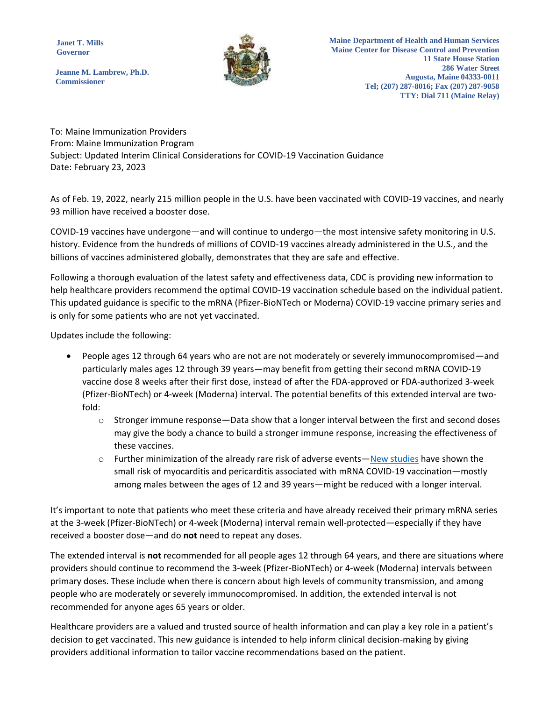**Janet T. Mills Governor**



**Maine Department of Health and Human Services Maine Center for Disease Control and Prevention 11 State House Station 286 Water Street Augusta, Maine 04333-0011 Tel; (207) 287-8016; Fax (207) 287-9058 TTY: Dial 711 (Maine Relay)**

**Jeanne M. Lambrew, Ph.D. Commissioner**

To: Maine Immunization Providers From: Maine Immunization Program Subject: Updated Interim Clinical Considerations for COVID-19 Vaccination Guidance Date: February 23, 2023

As of Feb. 19, 2022, nearly 215 million people in the U.S. have been vaccinated with COVID-19 vaccines, and nearly 93 million have received a booster dose.

COVID-19 vaccines have undergone—and will continue to undergo—the most intensive safety monitoring in U.S. history. Evidence from the hundreds of millions of COVID-19 vaccines already administered in the U.S., and the billions of vaccines administered globally, demonstrates that they are safe and effective.

Following a thorough evaluation of the latest safety and effectiveness data, CDC is providing new information to help healthcare providers recommend the optimal COVID-19 vaccination schedule based on the individual patient. This updated guidance is specific to the mRNA (Pfizer-BioNTech or Moderna) COVID-19 vaccine primary series and is only for some patients who are not yet vaccinated.

Updates include the following:

- People ages 12 through 64 years who are not are not moderately or severely immunocompromised—and particularly males ages 12 through 39 years—may benefit from getting their second mRNA COVID-19 vaccine dose 8 weeks after their first dose, instead of after the FDA-approved or FDA-authorized 3-week (Pfizer-BioNTech) or 4-week (Moderna) interval. The potential benefits of this extended interval are twofold:
	- $\circ$  Stronger immune response—Data show that a longer interval between the first and second doses may give the body a chance to build a stronger immune response, increasing the effectiveness of these vaccines.
	- o Further minimization of the already rare risk of adverse events—[New studies](https://www.cdc.gov/vaccines/acip/meetings/downloads/slides-2022-02-04/11-COVID-Moulia-508.pdf) have shown the small risk of myocarditis and pericarditis associated with mRNA COVID-19 vaccination—mostly among males between the ages of 12 and 39 years—might be reduced with a longer interval.

It's important to note that patients who meet these criteria and have already received their primary mRNA series at the 3-week (Pfizer-BioNTech) or 4-week (Moderna) interval remain well-protected—especially if they have received a booster dose—and do **not** need to repeat any doses.

The extended interval is **not** recommended for all people ages 12 through 64 years, and there are situations where providers should continue to recommend the 3-week (Pfizer-BioNTech) or 4-week (Moderna) intervals between primary doses. These include when there is concern about high levels of community transmission, and among people who are moderately or severely immunocompromised. In addition, the extended interval is not recommended for anyone ages 65 years or older.

Healthcare providers are a valued and trusted source of health information and can play a key role in a patient's decision to get vaccinated. This new guidance is intended to help inform clinical decision-making by giving providers additional information to tailor vaccine recommendations based on the patient.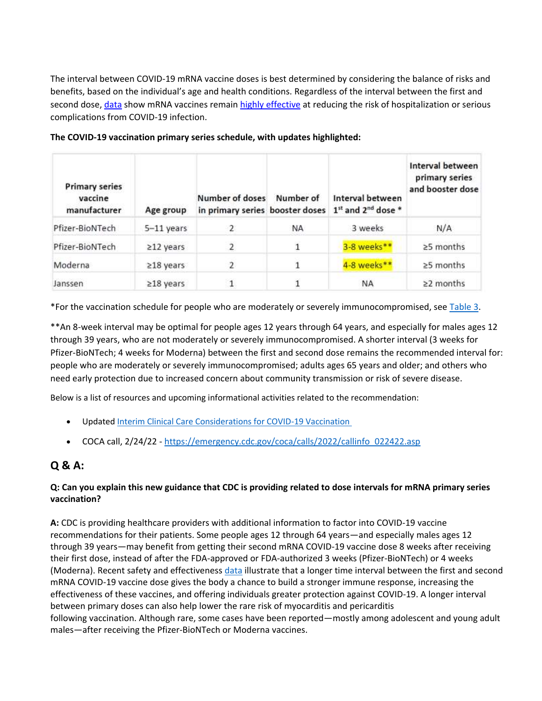The interval between COVID-19 mRNA vaccine doses is best determined by considering the balance of risks and benefits, based on the individual's age and health conditions. Regardless of the interval between the first and second dose, [data](https://covid.cdc.gov/covid-data-tracker/#vaccine-effectiveness) show mRNA vaccines remain [highly effective](https://www.cdc.gov/coronavirus/2019-ncov/vaccines/effectiveness/index.html) at reducing the risk of hospitalization or serious complications from COVID-19 infection.

| <b>Primary series</b><br>vaccine<br>manufacturer | Age group       | Number of doses<br>in primary series booster doses | Number of      | Interval between<br>1st and 2 <sup>nd</sup> dose * | Interval between<br>primary series<br>and booster dose |
|--------------------------------------------------|-----------------|----------------------------------------------------|----------------|----------------------------------------------------|--------------------------------------------------------|
| Pfizer-BioNTech                                  | 5-11 years      |                                                    | NA             | 3 weeks                                            | N/A                                                    |
| Pfizer-BioNTech                                  | $≥12$ years     | 2                                                  | $\overline{1}$ | 3-8 weeks**                                        | ≥5 months                                              |
| Moderna                                          | $\geq$ 18 years | $\overline{2}$                                     |                | 4-8 weeks**                                        | $\geq$ 5 months                                        |
| Janssen                                          | $≥18$ years     | $\mathbf{1}$                                       |                | NA                                                 | $\geq$ 2 months                                        |

**The COVID-19 vaccination primary series schedule, with updates highlighted:**

\*For the vaccination schedule for people who are moderately or severely immunocompromised, see [Table 3.](https://www.cdc.gov/vaccines/covid-19/clinical-considerations/covid-19-vaccines-us.html#table-03)

\*\*An 8-week interval may be optimal for people ages 12 years through 64 years, and especially for males ages 12 through 39 years, who are not moderately or severely immunocompromised. A shorter interval (3 weeks for Pfizer-BioNTech; 4 weeks for Moderna) between the first and second dose remains the recommended interval for: people who are moderately or severely immunocompromised; adults ages 65 years and older; and others who need early protection due to increased concern about community transmission or risk of severe disease.

Below is a list of resources and upcoming informational activities related to the recommendation:

- Updated Interim Clinical Care Considerations for COVID-19 Vaccination
- COCA call, 2/24/22 [https://emergency.cdc.gov/coca/calls/2022/callinfo\\_022422.asp](https://emergency.cdc.gov/coca/calls/2022/callinfo_022422.asp)

# **Q & A:**

# **Q: Can you explain this new guidance that CDC is providing related to dose intervals for mRNA primary series vaccination?**

**A:** CDC is providing healthcare providers with additional information to factor into COVID-19 vaccine recommendations for their patients. Some people ages 12 through 64 years—and especially males ages 12 through 39 years—may benefit from getting their second mRNA COVID-19 vaccine dose 8 weeks after receiving their first dose, instead of after the FDA-approved or FDA-authorized 3 weeks (Pfizer-BioNTech) or 4 weeks (Moderna). Recent safety and effectiveness [data](https://www.cdc.gov/vaccines/acip/meetings/downloads/slides-2022-02-04/11-COVID-Moulia-508.pdf) illustrate that a longer time interval between the first and second mRNA COVID-19 vaccine dose gives the body a chance to build a stronger immune response, increasing the effectiveness of these vaccines, and offering individuals greater protection against COVID-19. A longer interval between primary doses can also help lower the rare risk of myocarditis and pericarditis following vaccination. Although rare, some cases have been reported—mostly among adolescent and young adult males—after receiving the Pfizer-BioNTech or Moderna vaccines.